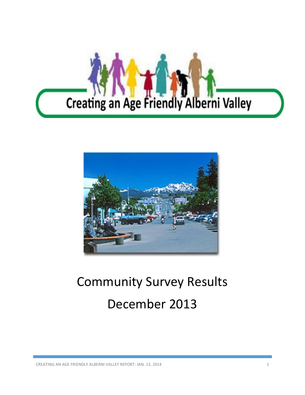



# Community Survey Results December 2013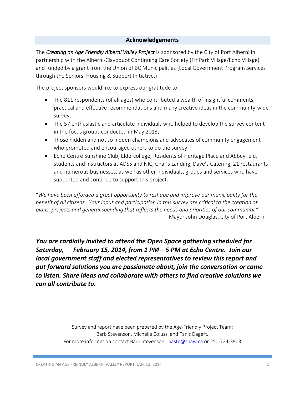#### **Acknowledgements**

The *Creating an Age Friendly Alberni Valley Project* is sponsored by the City of Port Alberni in partnership with the Alberni-Clayoquot Continuing Care Society (Fir Park Village/Echo Village) and funded by a grant from the Union of BC Municipalities (Local Government Program Services through the Seniors' Housing & Support Initiative.)

The project sponsors would like to express our gratitude to:

- The 811 respondents (of all ages) who contributed a wealth of insightful comments, practical and effective recommendations and many creative ideas in the community-wide survey;
- The 57 enthusiastic and articulate individuals who helped to develop the survey content in the focus groups conducted in May 2013;
- Those hidden and not so hidden champions and advocates of community engagement who promoted and encouraged others to do the survey;
- Echo Centre Sunshine Club, Eldercollege, Residents of Heritage Place and Abbeyfield, students and instructors at ADSS and NIC, Char's Landing, Dave's Catering, 21 restaurants and numerous businesses, as well as other individuals, groups and services who have supported and continue to support this project.

"*We have been afforded a great opportunity to reshape and improve our municipality for the benefit of all citizens. Your input and participation in this survey are critical to the creation of plans, projects and general spending that reflects the needs and priorities of our community." -* Mayor John Douglas, City of Port Alberni

*You are cordially invited to attend the Open Space gathering scheduled for Saturday, February 15, 2014, from 1 PM – 5 PM at Echo Centre. Join our local government staff and elected representatives to review this report and put forward solutions you are passionate about, join the conversation or come to listen. Share ideas and collaborate with others to find creative solutions we can all contribute to.* 

> Survey and report have been prepared by the Age-Friendly Project Team: Barb Stevenson, Michelle Colussi and Tanis Dagert. For more information contact Barb Stevenson: [baste@shaw.ca o](mailto:baste@shaw.ca)r 250-724-3903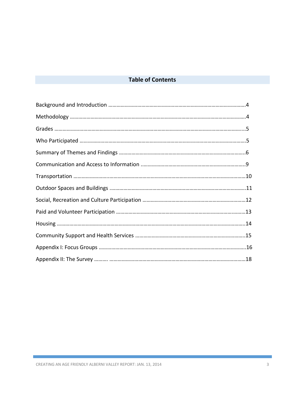# **Table of Contents**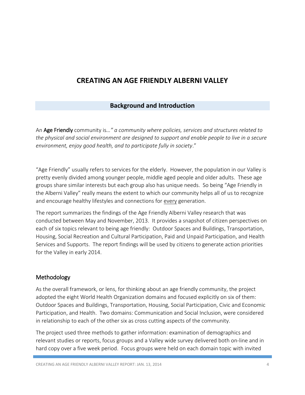# **CREATING AN AGE FRIENDLY ALBERNI VALLEY**

## **Background and Introduction**

An Age Friendly community is*…" a community where policies, services and structures related to the physical and social environment are designed to support and enable people to live in a secure environment, enjoy good health, and to participate fully in society*."

"Age Friendly" usually refers to services for the elderly. However, the population in our Valley is pretty evenly divided among younger people, middle aged people and older adults. These age groups share similar interests but each group also has unique needs. So being "Age Friendly in the Alberni Valley" really means the extent to which our community helps all of us to recognize and encourage healthy lifestyles and connections for every generation.

The report summarizes the findings of the Age Friendly Alberni Valley research that was conducted between May and November, 2013. It provides a snapshot of citizen perspectives on each of six topics relevant to being age friendly: Outdoor Spaces and Buildings, Transportation, Housing, Social Recreation and Cultural Participation, Paid and Unpaid Participation, and Health Services and Supports. The report findings will be used by citizens to generate action priorities for the Valley in early 2014.

#### Methodology

As the overall framework, or lens, for thinking about an age friendly community, the project adopted the eight World Health Organization domains and focused explicitly on six of them: Outdoor Spaces and Buildings, Transportation, Housing, Social Participation, Civic and Economic Participation, and Health. Two domains: Communication and Social Inclusion, were considered in relationship to each of the other six as cross cutting aspects of the community.

The project used three methods to gather information: examination of demographics and relevant studies or reports, focus groups and a Valley wide survey delivered both on-line and in hard copy over a five week period. Focus groups were held on each domain topic with invited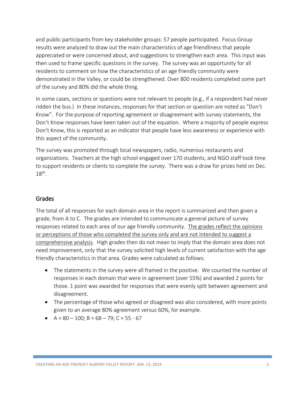and public participants from key stakeholder groups: 57 people participated. Focus Group results were analyzed to draw out the main characteristics of age friendliness that people appreciated or were concerned about, and suggestions to strengthen each area. This input was then used to frame specific questions in the survey. The survey was an opportunity for all residents to comment on how the characteristics of an age friendly community were demonstrated in the Valley, or could be strengthened. Over 800 residents completed some part of the survey and 80% did the whole thing.

In some cases, sections or questions were not relevant to people (e.g., if a respondent had never ridden the bus.) In these instances, responses for that section or question are noted as "Don't Know". For the purpose of reporting agreement or disagreement with survey statements, the Don't Know responses have been taken out of the equation. Where a majority of people express Don't Know, this is reported as an indicator that people have less awareness or experience with this aspect of the community.

The survey was promoted through local newspapers, radio, numerous restaurants and organizations. Teachers at the high school engaged over 170 students, and NGO staff took time to support residents or clients to complete the survey. There was a draw for prizes held on Dec.  $18<sup>th</sup>$ .

#### Grades

The total of all responses for each domain area in the report is summarized and then given a grade, from A to C. The grades are intended to communicate a general picture of survey responses related to each area of our age friendly community. The grades reflect the opinions or perceptions of those who completed the survey only and are not intended to suggest a comprehensive analysis. High grades then do not mean to imply that the domain area does not need improvement, only that the survey solicited high levels of current satisfaction with the age friendly characteristics in that area. Grades were calculated as follows:

- The statements in the survey were all framed in the positive. We counted the number of responses in each domain that were in agreement (over 55%) and awarded 2 points for those. 1 point was awarded for responses that were evenly split between agreement and disagreement.
- The percentage of those who agreed or disagreed was also considered, with more points given to an average 80% agreement versus 60%, for example.
- $\bullet$  A = 80 100; B = 68 79; C = 55 67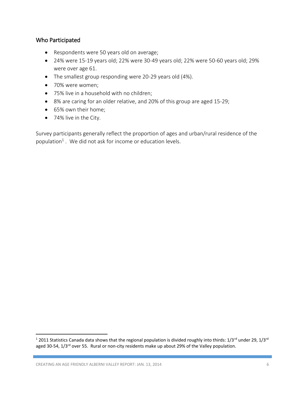#### Who Participated

- Respondents were 50 years old on average;
- 24% were 15-19 years old; 22% were 30-49 years old; 22% were 50-60 years old; 29% were over age 61.
- The smallest group responding were 20-29 years old (4%).
- 70% were women;
- 75% live in a household with no children;
- 8% are caring for an older relative, and 20% of this group are aged 15-29;
- 65% own their home;
- 74% live in the City.

Survey participants generally reflect the proportion of ages and urban/rural residence of the population<sup>1</sup>. We did not ask for income or education levels.

 $\overline{\phantom{a}}$ 

<sup>&</sup>lt;sup>1</sup> 2011 Statistics Canada data shows that the regional population is divided roughly into thirds: 1/3<sup>rd</sup> under 29, 1/3<sup>rd</sup> aged 30-54,  $1/3$ <sup>rd</sup> over 55. Rural or non-city residents make up about 29% of the Valley population.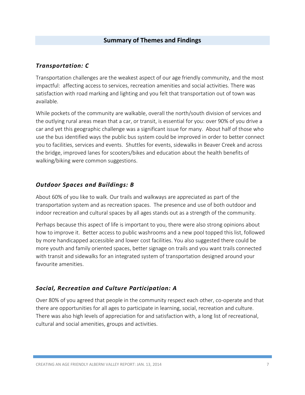#### **Summary of Themes and Findings**

#### *Transportation: C*

Transportation challenges are the weakest aspect of our age friendly community, and the most impactful: affecting access to services, recreation amenities and social activities. There was satisfaction with road marking and lighting and you felt that transportation out of town was available.

While pockets of the community are walkable, overall the north/south division of services and the outlying rural areas mean that a car, or transit, is essential for you: over 90% of you drive a car and yet this geographic challenge was a significant issue for many. About half of those who use the bus identified ways the public bus system could be improved in order to better connect you to facilities, services and events. Shuttles for events, sidewalks in Beaver Creek and across the bridge, improved lanes for scooters/bikes and education about the health benefits of walking/biking were common suggestions.

#### *Outdoor Spaces and Buildings: B*

About 60% of you like to walk. Our trails and walkways are appreciated as part of the transportation system and as recreation spaces. The presence and use of both outdoor and indoor recreation and cultural spaces by all ages stands out as a strength of the community.

Perhaps because this aspect of life is important to you, there were also strong opinions about how to improve it. Better access to public washrooms and a new pool topped this list, followed by more handicapped accessible and lower cost facilities. You also suggested there could be more youth and family oriented spaces, better signage on trails and you want trails connected with transit and sidewalks for an integrated system of transportation designed around your favourite amenities.

#### *Social, Recreation and Culture Participation: A*

Over 80% of you agreed that people in the community respect each other, co-operate and that there are opportunities for all ages to participate in learning, social, recreation and culture. There was also high levels of appreciation for and satisfaction with, a long list of recreational, cultural and social amenities, groups and activities.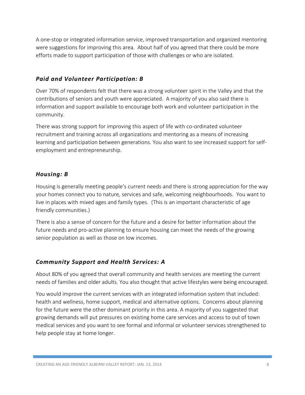A one-stop or integrated information service, improved transportation and organized mentoring were suggestions for improving this area. About half of you agreed that there could be more efforts made to support participation of those with challenges or who are isolated.

## *Paid and Volunteer Participation: B*

Over 70% of respondents felt that there was a strong volunteer spirit in the Valley and that the contributions of seniors and youth were appreciated. A majority of you also said there is information and support available to encourage both work and volunteer participation in the community.

There was strong support for improving this aspect of life with co-ordinated volunteer recruitment and training across all organizations and mentoring as a means of increasing learning and participation between generations. You also want to see increased support for selfemployment and entrepreneurship.

## *Housing: B*

Housing is generally meeting people's current needs and there is strong appreciation for the way your homes connect you to nature, services and safe, welcoming neighbourhoods. You want to live in places with mixed ages and family types. (This is an important characteristic of age friendly communities.)

There is also a sense of concern for the future and a desire for better information about the future needs and pro-active planning to ensure housing can meet the needs of the growing senior population as well as those on low incomes.

# *Community Support and Health Services: A*

About 80% of you agreed that overall community and health services are meeting the current needs of families and older adults. You also thought that active lifestyles were being encouraged.

You would improve the current services with an integrated information system that included: health and wellness, home support, medical and alternative options. Concerns about planning for the future were the other dominant priority in this area. A majority of you suggested that growing demands will put pressures on existing home care services and access to out of town medical services and you want to see formal and informal or volunteer services strengthened to help people stay at home longer.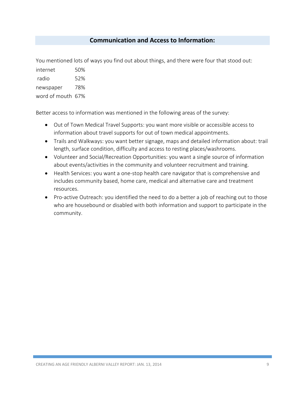## **Communication and Access to Information:**

You mentioned lots of ways you find out about things, and there were four that stood out:

[internet](https://fluidsurveys.com/account/surveys/281555/reports/373845/) 50% [radio](https://fluidsurveys.com/account/surveys/281555/reports/373845/) 52% [newspaper](https://fluidsurveys.com/account/surveys/281555/reports/373845/) 78% [word of mouth](https://fluidsurveys.com/account/surveys/281555/reports/373845/) 67%

Better access to information was mentioned in the following areas of the survey:

- Out of Town Medical Travel Supports: you want more visible or accessible access to information about travel supports for out of town medical appointments.
- Trails and Walkways: you want better signage, maps and detailed information about: trail length, surface condition, difficulty and access to resting places/washrooms.
- Volunteer and Social/Recreation Opportunities: you want a single source of information about events/activities in the community and volunteer recruitment and training.
- Health Services: you want a one-stop health care navigator that is comprehensive and includes community based, home care, medical and alternative care and treatment resources.
- Pro-active Outreach: you identified the need to do a better a job of reaching out to those who are housebound or disabled with both information and support to participate in the community.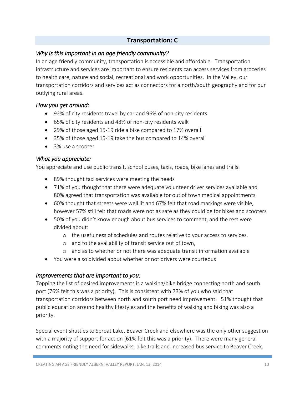# **Transportation: C**

#### *Why is this important in an age friendly community?*

In an age friendly community, transportation is accessible and affordable. Transportation infrastructure and services are important to ensure residents can access services from groceries to health care, nature and social, recreational and work opportunities. In the Valley, our transportation corridors and services act as connectors for a north/south geography and for our outlying rural areas.

#### *How you get around:*

- 92% of city residents travel by car and 96% of non-city residents
- 65% of city residents and 48% of non-city residents walk
- 29% of those aged 15-19 ride a bike compared to 17% overall
- 35% of those aged 15-19 take the bus compared to 14% overall
- 3% use a scooter

#### *What you appreciate:*

You appreciate and use public transit, school buses, taxis, roads, bike lanes and trails.

- 89% thought taxi services were meeting the needs
- 71% of you thought that there were adequate volunteer driver services available and 80% agreed that transportation was available for out of town medical appointments
- 60% thought that streets were well lit and 67% felt that road markings were visible, however 57% still felt that roads were not as safe as they could be for bikes and scooters
- 50% of you didn't know enough about bus services to comment, and the rest were divided about:
	- o the usefulness of schedules and routes relative to your access to services,
	- o and to the availability of transit service out of town,
	- o and as to whether or not there was adequate transit information available
- You were also divided about whether or not drivers were courteous

#### *Improvements that are important to you:*

Topping the list of desired improvements is a walking/bike bridge connecting north and south port (76% felt this was a priority). This is consistent with 73% of you who said that transportation corridors between north and south port need improvement. 51% thought that public education around healthy lifestyles and the benefits of walking and biking was also a priority.

Special event shuttles to Sproat Lake, Beaver Creek and elsewhere was the only other suggestion with a majority of support for action (61% felt this was a priority). There were many general comments noting the need for sidewalks, bike trails and increased bus service to Beaver Creek.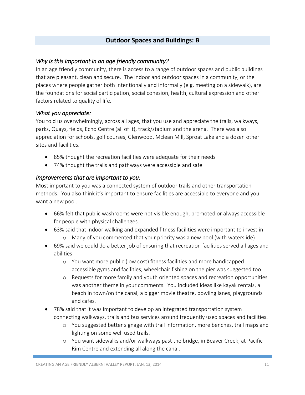## **Outdoor Spaces and Buildings: B**

#### *Why is this important in an age friendly community?*

In an age friendly community, there is access to a range of outdoor spaces and public buildings that are pleasant, clean and secure. The indoor and outdoor spaces in a community, or the places where people gather both intentionally and informally (e.g. meeting on a sidewalk), are the foundations for social participation, social cohesion, health, cultural expression and other factors related to quality of life.

#### *What you appreciate:*

You told us overwhelmingly, across all ages, that you use and appreciate the trails, walkways, parks, Quays, fields, Echo Centre (all of it), track/stadium and the arena. There was also appreciation for schools, golf courses, Glenwood, Mclean Mill, Sproat Lake and a dozen other sites and facilities.

- 85% thought the recreation facilities were adequate for their needs
- 74% thought the trails and pathways were accessible and safe

#### *Improvements that are important to you:*

Most important to you was a connected system of outdoor trails and other transportation methods. You also think it's important to ensure facilities are accessible to everyone and you want a new pool.

- 66% felt that public washrooms were not visible enough, promoted or always accessible for people with physical challenges.
- 63% said that indoor walking and expanded fitness facilities were important to invest in o Many of you commented that your priority was a new pool (with waterslide)
- 69% said we could do a better job of ensuring that recreation facilities served all ages and abilities
	- o You want more public (low cost) fitness facilities and more handicapped accessible gyms and facilities; wheelchair fishing on the pier was suggested too.
	- o Requests for more family and youth oriented spaces and recreation opportunities was another theme in your comments. You included ideas like kayak rentals, a beach in town/on the canal, a bigger movie theatre, bowling lanes, playgrounds and cafes.
- 78% said that it was important to develop an integrated transportation system connecting walkways, trails and bus services around frequently used spaces and facilities.
	- o You suggested better signage with trail information, more benches, trail maps and lighting on some well used trails.
	- o You want sidewalks and/or walkways past the bridge, in Beaver Creek, at Pacific Rim Centre and extending all along the canal.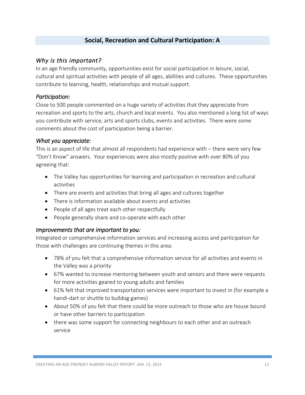# **Social, Recreation and Cultural Participation: A**

#### *Why is this important?*

In an age friendly community, opportunities exist for social participation in leisure, social, cultural and spiritual activities with people of all ages, abilities and cultures. These opportunities contribute to learning, health, relationships and mutual support.

#### *Participation:*

Close to 500 people commented on a huge variety of activities that they appreciate from recreation and sports to the arts, church and local events. You also mentioned a long list of ways you contribute with service, arts and sports clubs, events and activities. There were some comments about the cost of participation being a barrier.

#### *What you appreciate:*

This is an aspect of life that almost all respondents had experience with – there were very few "Don't Know" answers. Your experiences were also mostly positive with over 80% of you agreeing that:

- The Valley has opportunities for learning and participation in recreation and cultural activities
- There are events and activities that bring all ages and cultures together
- There is information available about events and activities
- People of all ages treat each other respectfully
- People generally share and co-operate with each other

## *Improvements that are important to you:*

Integrated or comprehensive information services and increasing access and participation for those with challenges are continuing themes in this area:

- 78% of you felt that a comprehensive information service for all activities and events in the Valley was a priority
- 67% wanted to increase mentoring between youth and seniors and there were requests for more activities geared to young adults and families
- 61% felt that improved transportation services were important to invest in (for example a handi-dart or shuttle to bulldog games)
- About 50% of you felt that there could be more outreach to those who are house bound or have other barriers to participation
- there was some support for connecting neighbours to each other and an outreach service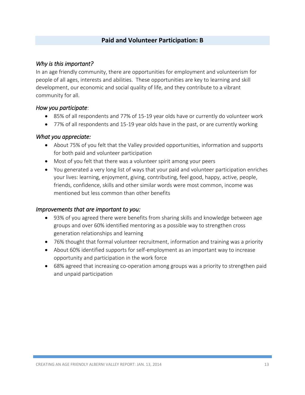## **Paid and Volunteer Participation: B**

#### *Why is this important?*

In an age friendly community, there are opportunities for employment and volunteerism for people of all ages, interests and abilities. These opportunities are key to learning and skill development, our economic and social quality of life, and they contribute to a vibrant community for all.

#### *How you participate*:

- 85% of all respondents and 77% of 15-19 year olds have or currently do volunteer work
- 77% of all respondents and 15-19 year olds have in the past, or are currently working

#### *What you appreciate:*

- About 75% of you felt that the Valley provided opportunities, information and supports for both paid and volunteer participation
- Most of you felt that there was a volunteer spirit among your peers
- You generated a very long list of ways that your paid and volunteer participation enriches your lives: learning, enjoyment, giving, contributing, feel good, happy, active, people, friends, confidence, skills and other similar words were most common, income was mentioned but less common than other benefits

#### *Improvements that are important to you:*

- 93% of you agreed there were benefits from sharing skills and knowledge between age groups and over 60% identified mentoring as a possible way to strengthen cross generation relationships and learning
- 76% thought that formal volunteer recruitment, information and training was a priority
- About 60% identified supports for self-employment as an important way to increase opportunity and participation in the work force
- 68% agreed that increasing co-operation among groups was a priority to strengthen paid and unpaid participation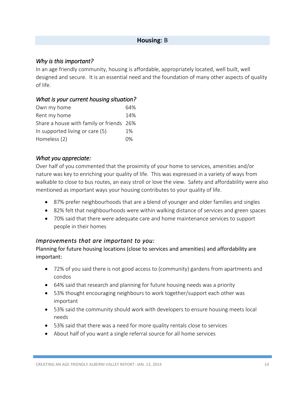#### **Housing: B**

#### *Why is this important?*

In an age friendly community, housing is affordable, appropriately located, well built, well designed and secure. It is an essential need and the foundation of many other aspects of quality of life.

#### *What is your current housing situation?*

| 64%                                      |
|------------------------------------------|
| 14%                                      |
| Share a house with family or friends 26% |
| $1\%$                                    |
| በ%                                       |
|                                          |

#### *What you appreciate:*

Over half of you commented that the proximity of your home to services, amenities and/or nature was key to enriching your quality of life. This was expressed in a variety of ways from walkable to close to bus routes, an easy stroll or love the view. Safety and affordability were also mentioned as important ways your housing contributes to your quality of life.

- 87% prefer neighbourhoods that are a blend of younger and older families and singles
- 82% felt that neighbourhoods were within walking distance of services and green spaces
- 70% said that there were adequate care and home maintenance services to support people in their homes

## *Improvements that are important to you:*

Planning for future housing locations (close to services and amenities) and affordability are important:

- 72% of you said there is not good access to (community) gardens from apartments and condos
- 64% said that research and planning for future housing needs was a priority
- 53% thought encouraging neighbours to work together/support each other was important
- 53% said the community should work with developers to ensure housing meets local needs
- 53% said that there was a need for more quality rentals close to services
- About half of you want a single referral source for all home services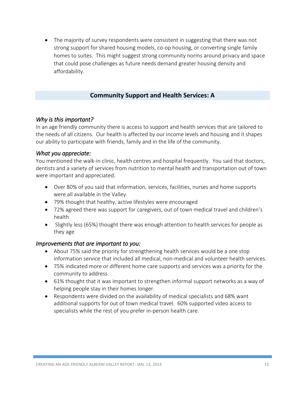• The majority of survey respondents were consistent in suggesting that there was not strong support for shared housing models, co-op housing, or converting single family homes to suites. This might suggest strong community norms around privacy and space that could pose challenges as future needs demand greater housing density and affordability.

## **Community Support and Health Services: A**

#### *Why is this important?*

In an age friendly community there is access to support and health services that are tailored to the needs of all citizens. Our health is affected by our income levels and housing and it shapes our ability to participate with friends, family and in the life of the community.

#### *What you appreciate:*

You mentioned the walk-in clinic, health centres and hospital frequently. You said that doctors, dentists and a variety of services from nutrition to mental health and transportation out of town were important and appreciated.

- Over 80% of you said that information, services, facilities, nurses and home supports were all available in the Valley.
- 79% thought that healthy, active lifestyles were encouraged
- 72% agreed there was support for caregivers, out of town medical travel and children's health
- Slightly less (65%) thought there was enough attention to health services for people as they age

#### *Improvements that are important to you:*

- About 75% said the priority for strengthening health services would be a one stop information service that included all medical, non-medical and volunteer health services.
- 75% indicated more or different home care supports and services was a priority for the community to address.
- 61% thought that it was important to strengthen informal support networks as a way of helping people stay in their homes longer.
- Respondents were divided on the availability of medical specialists and 68% want additional supports for out of town medical travel. 60% supported video access to specialists while the rest of you prefer in-person health care.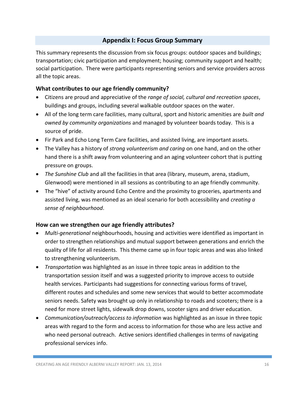## **Appendix I: Focus Group Summary**

This summary represents the discussion from six focus groups: outdoor spaces and buildings; transportation; civic participation and employment; housing; community support and health; social participation. There were participants representing seniors and service providers across all the topic areas.

#### **What contributes to our age friendly community?**

- Citizens are proud and appreciative of the *range of social, cultural and recreation spaces*, buildings and groups, including several walkable outdoor spaces on the water.
- All of the long term care facilities, many cultural, sport and historic amenities are *built and owned by community organizations* and managed by volunteer boards today. This is a source of pride.
- Fir Park and Echo Long Term Care facilities, and assisted living, are important assets.
- The Valley has a history of *strong volunteerism and caring* on one hand, and on the other hand there is a shift away from volunteering and an aging volunteer cohort that is putting pressure on groups.
- *The Sunshine Club* and all the facilities in that area (library, museum, arena, stadium, Glenwood) were mentioned in all sessions as contributing to an age friendly community.
- The "hive" of activity around Echo Centre and the proximity to groceries, apartments and assisted living, was mentioned as an ideal scenario for both accessibility and *creating a sense of neighbourhood*.

## **How can we strengthen our age friendly attributes?**

- *Multi-generational* neighbourhoods, housing and activities were identified as important in order to strengthen relationships and mutual support between generations and enrich the quality of life for all residents. This theme came up in four topic areas and was also linked to strengthening volunteerism.
- *Transportation* was highlighted as an issue in three topic areas in addition to the transportation session itself and was a suggested priority to improve access to outside health services. Participants had suggestions for connecting various forms of travel, different routes and schedules and some new services that would to better accommodate seniors needs. Safety was brought up only in relationship to roads and scooters; there is a need for more street lights, sidewalk drop downs, scooter signs and driver education.
- *Communication/outreach/access to information* was highlighted as an issue in three topic areas with regard to the form and access to information for those who are less active and who need personal outreach. Active seniors identified challenges in terms of navigating professional services info.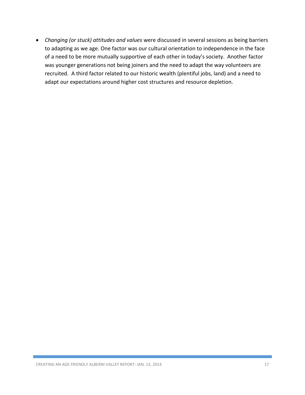*Changing (or stuck) attitudes and values* were discussed in several sessions as being barriers to adapting as we age. One factor was our cultural orientation to independence in the face of a need to be more mutually supportive of each other in today's society. Another factor was younger generations not being joiners and the need to adapt the way volunteers are recruited. A third factor related to our historic wealth (plentiful jobs, land) and a need to adapt our expectations around higher cost structures and resource depletion.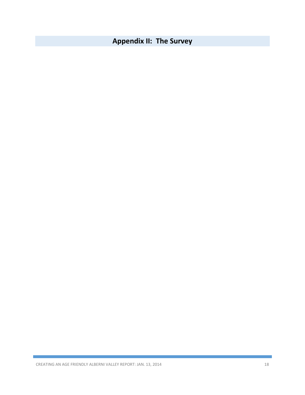# **Appendix II: The Survey**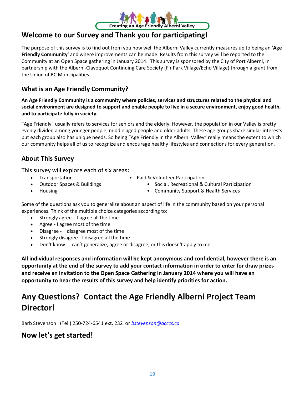

# **Welcome to our Survey and Thank you for participating!**

The purpose of this survey is to find out from you how well the Alberni Valley currently measures up to being an '**Age Friendly Community**' and where improvements can be made. Results from this survey will be reported to the Community at an Open Space gathering in January 2014. This survey is sponsored by the City of Port Alberni, in partnership with the Alberni-Clayoquot Continuing Care Society (Fir Park Village/Echo Village) through a grant from the Union of BC Municipalities.

# **What is an Age Friendly Community?**

**An Age Friendly Community is a community where policies, services and structures related to the physical and social environment are designed to support and enable people to live in a secure environment, enjoy good health, and to participate fully in society.**

"Age Friendly" usually refers to services for seniors and the elderly. However, the population in our Valley is pretty evenly divided among younger people, middle aged people and older adults. These age groups share similar interests but each group also has unique needs. So being "Age Friendly in the Alberni Valley" really means the extent to which our community helps all of us to recognize and encourage healthy lifestyles and connections for every generation.

# **About This Survey**

This survey will explore each of six areas**:**

- 
- 
- Transportation Paid & Volunteer Participation
	- Outdoor Spaces & Buildings Social, Recreational & Cultural Participation
- 
- Housing  **Community Support & Health Services**

Some of the questions ask you to generalize about an aspect of life in the community based on your personal experiences. Think of the multiple choice categories according to:

- Strongly agree I agree all the time
- Agree I agree most of the time
- Disagree I disagree most of the time
- Strongly disagree I disagree all the time
- Don't know I can't generalize, agree or disagree, or this doesn't apply to me.

**All individual responses and information will be kept anonymous and confidential, however there is an opportunity at the end of the survey to add your contact information in order to enter for draw prizes and receive an invitation to the Open Space Gathering in January 2014 where you will have an opportunity to hear the results of this survey and help identify priorities for action.** 

# **Any Questions? Contact the Age Friendly Alberni Project Team Director!**

Barb Stevenson (Tel.) 250-724-6541 ext. 232 or *[bstevenson@acccs.ca](mailto:bstevenson@acccs.ca)*

# **Now let's get started!**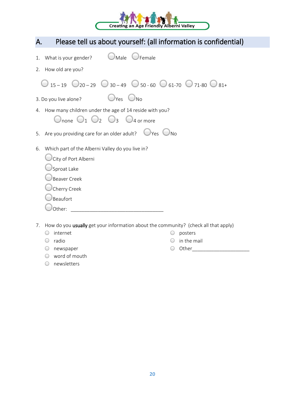

| Please tell us about yourself: (all information is confidential)<br>А.                                               |  |
|----------------------------------------------------------------------------------------------------------------------|--|
| $\bigcup$ Female<br>$\bigcup$ Male<br>1. What is your gender?                                                        |  |
| 2. How old are you?                                                                                                  |  |
| $\bigcirc$ 15-19 $\bigcirc$ 20-29 $\bigcirc$ 30-49 $\bigcirc$ 50-60 $\bigcirc$ 61-70 $\bigcirc$ 71-80 $\bigcirc$ 81+ |  |
| $\bigcup_{\text{Yes}}$ $\bigcup_{\text{No}}$<br>3. Do you live alone?                                                |  |
| 4. How many children under the age of 14 reside with you?<br>Onone $O_1 O_2 O_3$<br>$\bigcup$ 4 or more              |  |
| 5. Are you providing care for an older adult? $\Box$ Yes $\Box$ No                                                   |  |
| Which part of the Alberni Valley do you live in?<br>6.                                                               |  |
| City of Port Alberni                                                                                                 |  |
| Sproat Lake                                                                                                          |  |
| Beaver Creek                                                                                                         |  |
| Cherry Creek                                                                                                         |  |
| Beaufort                                                                                                             |  |
| Other:                                                                                                               |  |
| How do you usually get your information about the community? (check all that apply)<br>7.                            |  |

- $O$  internet
- radio
- newspaper
- word of mouth
- posters  $O$  in the mail
- Other\_\_\_\_\_\_\_\_\_\_\_\_\_\_\_\_\_\_\_\_\_

newsletters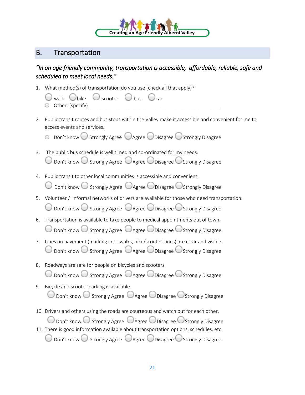

# B. Transportation

# *"In an age friendly community, transportation is accessible, affordable, reliable, safe and scheduled to meet local needs."*

- 1. What method(s) of transportation do you use (check all that apply)?
	- walk  $\bigcup_{\text{bike}}$   $\bigcup_{\text{score}}$   $\bigcup_{\text{bus}}$   $\bigcup_{\text{car}}$  $\bigcirc$  Other: (specify)
- 2. Public transit routes and bus stops within the Valley make it accessible and convenient for me to access events and services.
	- $\circ$  Don't know  $\circ$  Strongly Agree  $\circ$  Agree  $\circ$  Disagree  $\circ$  Strongly Disagree
- 3. The public bus schedule is well timed and co-ordinated for my needs.  $\bigcirc$  Don't know  $\bigcirc$  Strongly Agree  $\bigcirc$  Agree  $\bigcirc$  Disagree  $\bigcirc$  Strongly Disagree
- 4. Public transit to other local communities is accessible and convenient.

 $\bigcirc$  Don't know  $\bigcirc$  Strongly Agree  $\bigcirc$  Agree  $\bigcirc$  Disagree  $\bigcirc$  Strongly Disagree

- 5. Volunteer / informal networks of drivers are available for those who need transportation.  $\bigcirc$  Don't know  $\bigcirc$  Strongly Agree  $\bigcirc$  Agree  $\bigcirc$  Disagree  $\bigcirc$  Strongly Disagree
- 6. Transportation is available to take people to medical appointments out of town.  $\bigcirc$  Don't know  $\bigcirc$  Strongly Agree  $\bigcirc$  Agree  $\bigcirc$  Disagree  $\bigcirc$  Strongly Disagree
- 7. Lines on pavement (marking crosswalks, bike/scooter lanes) are clear and visible.  $\bigcirc$  Don't know  $\bigcirc$  Strongly Agree  $\bigcirc$  Agree  $\bigcirc$  Disagree  $\bigcirc$  Strongly Disagree
- 8. Roadways are safe for people on bicycles and scooters Don't know  $\bigcirc$  Strongly Agree  $\bigcirc$  Agree  $\bigcirc$  Disagree  $\bigcirc$  Strongly Disagree
- 9. Bicycle and scooter parking is available. Don't know  $\bigcirc$  Strongly Agree  $\bigcirc$  Agree  $\bigcirc$  Disagree  $\bigcirc$  Strongly Disagree
- 10. Drivers and others using the roads are courteous and watch out for each other.

 $\bigcirc$  Don't know  $\bigcirc$  Strongly Agree  $\bigcirc$  Agree  $\bigcirc$  Disagree  $\bigcirc$  Strongly Disagree 11. There is good information available about transportation options, schedules, etc. Don't know  $\bigcup$  Strongly Agree  $\bigcup$  Agree  $\bigcup$  Disagree  $\bigcup$  Strongly Disagree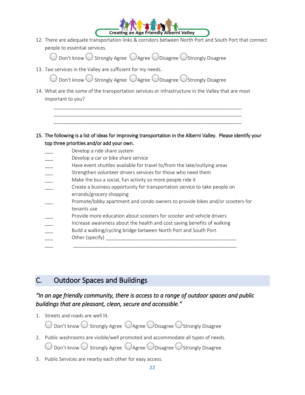

12. There are adequate transportation links & corridors between North Port and South Port that connect people to essential services.

 $\bigcirc$  Don't know  $\bigcirc$  Strongly Agree  $\bigcirc$  Agree  $\bigcirc$  Disagree  $\bigcirc$  Strongly Disagree

13. Taxi services in the Valley are sufficient for my needs.

| Don't know Strongly Agree Agree Disagree Strongly Disagree |  |  |
|------------------------------------------------------------|--|--|

14. What are the some of the transportation services or infrastructure in the Valley that are most important to you?

\_\_\_\_\_\_\_\_\_\_\_\_\_\_\_\_\_\_\_\_\_\_\_\_\_\_\_\_\_\_\_\_\_\_\_\_\_\_\_\_\_\_\_\_\_\_\_\_\_\_\_\_\_\_\_\_\_\_\_\_\_\_\_\_\_\_\_\_\_ \_\_\_\_\_\_\_\_\_\_\_\_\_\_\_\_\_\_\_\_\_\_\_\_\_\_\_\_\_\_\_\_\_\_\_\_\_\_\_\_\_\_\_\_\_\_\_\_\_\_\_\_\_\_\_\_\_\_\_\_\_\_\_\_\_\_\_\_\_ \_\_\_\_\_\_\_\_\_\_\_\_\_\_\_\_\_\_\_\_\_\_\_\_\_\_\_\_\_\_\_\_\_\_\_\_\_\_\_\_\_\_\_\_\_\_\_\_\_\_\_\_\_\_\_\_\_\_\_\_\_\_\_\_\_\_\_\_\_

15. The following is a list of ideas for improving transportation in the Alberni Valley. Please identify your top three priorities and/or add your own.

| Develop a ride share system |  |  |
|-----------------------------|--|--|
|                             |  |  |

- Develop a car or bike share service
- Have event shuttles available for travel to/from the lake/outlying areas
- Strengthen volunteer drivers services for those who need them
- Make the bus a social, fun activity so more people ride it
- \_\_\_ Create a business opportunity for transportation service to take people on errands/grocery shopping
- Promote/lobby apartment and condo owners to provide bikes and/or scooters for tenants use
- Provide more education about scooters for scooter and vehicle drivers
- Increase awareness about the health and cost saving benefits of walking

\_\_\_ \_\_\_\_\_\_\_\_\_\_\_\_\_\_\_\_\_\_\_\_\_\_\_\_\_\_\_\_\_\_\_\_\_\_\_\_\_\_\_\_\_\_\_\_\_\_\_\_\_\_\_\_\_\_\_\_\_\_\_\_

- Build a walking/cycling bridge between North Port and South Port.
- \_\_\_ Other (specify) \_\_\_\_\_\_\_\_\_\_\_\_\_\_\_\_\_\_\_\_\_\_\_\_\_\_\_\_\_\_\_\_\_\_\_\_\_\_\_\_\_\_\_\_\_\_\_\_

# C. Outdoor Spaces and Buildings

# *"In an age friendly community, there is access to a range of outdoor spaces and public buildings that are pleasant, clean, secure and accessible."*

1. Streets and roads are well lit.

 $\bigcirc$  Don't know  $\bigcirc$  Strongly Agree  $\bigcirc$  Agree  $\bigcirc$  Disagree  $\bigcirc$  Strongly Disagree

2. Public washrooms are visible/well promoted and accommodate all types of needs.

 $\bigcirc$  Don't know  $\bigcirc$  Strongly Agree  $\bigcirc$  Agree  $\bigcirc$  Disagree  $\bigcirc$  Strongly Disagree

3. Public Services are nearby each other for easy access.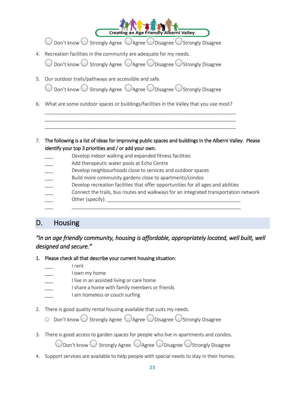$\bigcirc$  Don't know  $\bigcirc$  Strongly Agree  $\bigcirc$  Agree  $\bigcirc$  Disagree  $\bigcirc$  Strongly Disagree

**Creating an Age Friendly Alberni Valley** 

4. Recreation facilities in the community are adequate for my needs.

Don't know  $\bigcirc$  Strongly Agree  $\bigcirc$  Agree  $\bigcirc$  Disagree  $\bigcirc$  Strongly Disagree

5. Our outdoor trails/pathways are accessible and safe.

Don't know  $\bigcirc$  Strongly Agree  $\bigcirc$  Agree  $\bigcirc$  Disagree  $\bigcirc$  Strongly Disagree

6. What are some outdoor spaces or buildings/facilities in the Valley that you use most?

\_\_\_\_\_\_\_\_\_\_\_\_\_\_\_\_\_\_\_\_\_\_\_\_\_\_\_\_\_\_\_\_\_\_\_\_\_\_\_\_\_\_\_\_\_\_\_\_\_\_\_\_\_\_\_\_\_\_\_\_\_\_\_\_\_\_\_\_\_\_ \_\_\_\_\_\_\_\_\_\_\_\_\_\_\_\_\_\_\_\_\_\_\_\_\_\_\_\_\_\_\_\_\_\_\_\_\_\_\_\_\_\_\_\_\_\_\_\_\_\_\_\_\_\_\_\_\_\_\_\_\_\_\_\_\_\_\_\_\_\_ \_\_\_\_\_\_\_\_\_\_\_\_\_\_\_\_\_\_\_\_\_\_\_\_\_\_\_\_\_\_\_\_\_\_\_\_\_\_\_\_\_\_\_\_\_\_\_\_\_\_\_\_\_\_\_\_\_\_\_\_\_\_\_\_\_\_\_\_\_\_

- 7. The following is a list of ideas for improving public spaces and buildings in the Alberni Valley. Please identify your top 3 priorities and / or add your own.
	- Develop indoor walking and expanded fitness facilities
	- Add therapeutic water pools at Echo Centre
	- Develop neighbourhoods close to services and outdoor spaces
	- Build more community gardens close to apartments/condos
	- Develop recreation facilities that offer opportunities for all ages and abilities

\_\_\_ \_\_\_\_\_\_\_\_\_\_\_\_\_\_\_\_\_\_\_\_\_\_\_\_\_\_\_\_\_\_\_\_\_\_\_\_\_\_\_\_\_\_\_\_\_\_\_\_\_\_\_\_\_\_\_\_\_\_\_\_\_\_

- \_\_\_ Connect the trails, bus routes and walkways for an integrated transportation network
- Other (specify):  $\Box$

# D. Housing

# *"In an age friendly community, housing is affordable, appropriately located, well built, well designed and secure."*

- 1. Please check all that describe your current housing situation:
	- \_\_\_ I rent
	- I own my home
	- I live in an assisted living or care home
	- I share a home with family members or friends
	- I am homeless or couch surfing
- 2. There is good quality rental housing available that suits my needs.
	- $\circ$  Don't know  $\circ$  Strongly Agree  $\circ$  Agree  $\circ$  Disagree  $\circ$  Strongly Disagree
- 3. There is good access to garden spaces for people who live in apartments and condos.

 $\bigcirc$  Don't know  $\bigcirc$  Strongly Agree  $\bigcirc$  Agree  $\bigcirc$  Disagree  $\bigcirc$  Strongly Disagree

4. Support services are available to help people with special needs to stay in their homes.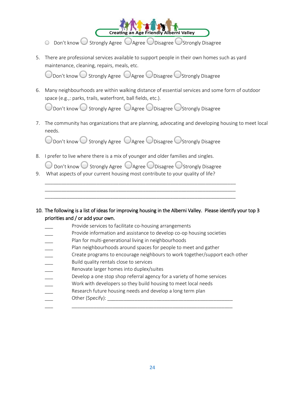

- $\circ$  Don't know  $\circ$  Strongly Agree  $\circ$  Agree  $\circ$  Disagree  $\circ$  Strongly Disagree
- 5. There are professional services available to support people in their own homes such as yard maintenance, cleaning, repairs, meals, etc.

 $\mathbb D$ on't know  $\bigcirc$  Strongly Agree  $\bigcirc$  Agree  $\bigcirc$  Disagree  $\bigcirc$ Strongly Disagree

6. Many neighbourhoods are within walking distance of essential services and some form of outdoor space (e.g.,: parks, trails, waterfront, ball fields, etc.).

Don't know  $\bigcirc$  Strongly Agree  $\bigcirc$  Agree  $\bigcirc$  Disagree  $\bigcirc$  Strongly Disagree

7. The community has organizations that are planning, advocating and developing housing to meet local needs.

O Don't know O Strongly Agree O Agree O Disagree O Strongly Disagree

8. I prefer to live where there is a mix of younger and older families and singles.

 $\bigcirc$  Don't know  $\bigcirc$  Strongly Agree  $\bigcirc$  Agree  $\bigcirc$  Disagree  $\bigcirc$  Strongly Disagree

\_\_\_\_\_\_\_\_\_\_\_\_\_\_\_\_\_\_\_\_\_\_\_\_\_\_\_\_\_\_\_\_\_\_\_\_\_\_\_\_\_\_\_\_\_\_\_\_\_\_\_\_\_\_\_\_\_\_\_\_\_\_\_\_\_\_\_\_\_\_ \_\_\_\_\_\_\_\_\_\_\_\_\_\_\_\_\_\_\_\_\_\_\_\_\_\_\_\_\_\_\_\_\_\_\_\_\_\_\_\_\_\_\_\_\_\_\_\_\_\_\_\_\_\_\_\_\_\_\_\_\_\_\_\_\_\_\_\_\_\_ \_\_\_\_\_\_\_\_\_\_\_\_\_\_\_\_\_\_\_\_\_\_\_\_\_\_\_\_\_\_\_\_\_\_\_\_\_\_\_\_\_\_\_\_\_\_\_\_\_\_\_\_\_\_\_\_\_\_\_\_\_\_\_\_\_\_\_\_\_\_

- 9. What aspects of your current housing most contribute to your quality of life?
- 10. The following is a list of ideas for improving housing in the Alberni Valley. Please identify your top 3 priorities and / or add your own.
	- Provide services to facilitate co-housing arrangements
	- Provide information and assistance to develop co-op housing societies
	- Plan for multi-generational living in neighbourhoods
	- Plan neighbourhoods around spaces for people to meet and gather
	- Create programs to encourage neighbours to work together/support each other
	- \_\_\_ Build quality rentals close to services
	- Renovate larger homes into duplex/suites
	- Develop a one stop shop referral agency for a variety of home services

\_\_\_ \_\_\_\_\_\_\_\_\_\_\_\_\_\_\_\_\_\_\_\_\_\_\_\_\_\_\_\_\_\_\_\_\_\_\_\_\_\_\_\_\_\_\_\_\_\_\_\_\_\_\_\_\_\_\_\_\_\_\_

- Work with developers so they build housing to meet local needs
- Research future housing needs and develop a long term plan
- Other (Specify):  $\_\_$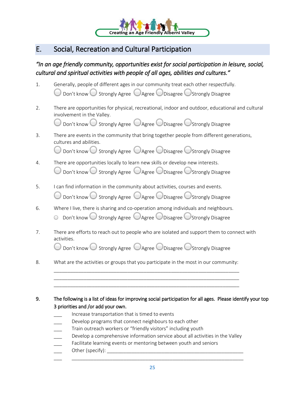

# E. Social, Recreation and Cultural Participation

# *"In an age friendly community, opportunities exist for social participation in leisure, social, cultural and spiritual activities with people of all ages, abilities and cultures."*

| 1. | Generally, people of different ages in our community treat each other respectfully.<br>$\bigcirc$ Don't know $\bigcirc$ Strongly Agree $\bigcirc$ Agree $\bigcirc$ Disagree $\bigcirc$ Strongly Disagree                                                                                                                                                                                                                                                                              |
|----|---------------------------------------------------------------------------------------------------------------------------------------------------------------------------------------------------------------------------------------------------------------------------------------------------------------------------------------------------------------------------------------------------------------------------------------------------------------------------------------|
| 2. | There are opportunities for physical, recreational, indoor and outdoor, educational and cultural<br>involvement in the Valley.<br>Don't know $\bigcirc$ Strongly Agree $\bigcirc$ Agree $\bigcirc$ Disagree $\bigcirc$ Strongly Disagree                                                                                                                                                                                                                                              |
| 3. | There are events in the community that bring together people from different generations,<br>cultures and abilities.<br>O Don't know O Strongly Agree OAgree ODisagree OStrongly Disagree                                                                                                                                                                                                                                                                                              |
| 4. | There are opportunities locally to learn new skills or develop new interests.<br>$\bigcirc$ Don't know $\bigcirc$ Strongly Agree $\bigcirc$ Agree $\bigcirc$ Disagree $\bigcirc$ Strongly Disagree                                                                                                                                                                                                                                                                                    |
| 5. | I can find information in the community about activities, courses and events.<br>Don't know ○ Strongly Agree ○ Agree ○ Disagree ○ Strongly Disagree                                                                                                                                                                                                                                                                                                                                   |
| 6. | Where I live, there is sharing and co-operation among individuals and neighbours.<br>Don't know ○ Strongly Agree ○ Agree ○ Disagree ○ Strongly Disagree                                                                                                                                                                                                                                                                                                                               |
| 7. | There are efforts to reach out to people who are isolated and support them to connect with<br>activities.<br>Don't know $\bigcirc$ Strongly Agree $\bigcirc$ Agree $\bigcirc$ Disagree $\bigcirc$ Strongly Disagree                                                                                                                                                                                                                                                                   |
| 8. | What are the activities or groups that you participate in the most in our community:                                                                                                                                                                                                                                                                                                                                                                                                  |
| 9. | The following is a list of ideas for improving social participation for all ages. Please identify your top<br>3 priorities and /or add your own.<br>Increase transportation that is timed to events<br>Develop programs that connect neighbours to each other<br>Train outreach workers or "friendly visitors" including youth<br>Develop a comprehensive information service about all activities in the Valley<br>Facilitate learning events or mentoring between youth and seniors |
|    |                                                                                                                                                                                                                                                                                                                                                                                                                                                                                       |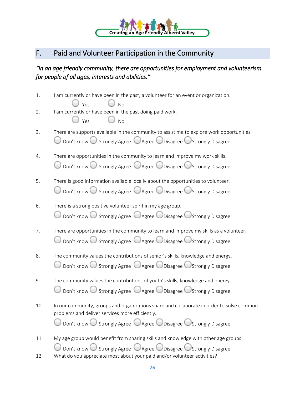

# F. Paid and Volunteer Participation in the Community

*"In an age friendly community, there are opportunities for employment and volunteerism for people of all ages, interests and abilities."* 

| 1.         | I am currently or have been in the past, a volunteer for an event or organization.<br>$\bigcup$ Yes<br>No                                                                                                                        |
|------------|----------------------------------------------------------------------------------------------------------------------------------------------------------------------------------------------------------------------------------|
| 2.         | I am currently or have been in the past doing paid work.<br>Yes<br><b>No</b>                                                                                                                                                     |
| 3.         | There are supports available in the community to assist me to explore work opportunities.<br>$\bigcirc$ Don't know $\bigcirc$ Strongly Agree $\bigcirc$ Agree $\bigcirc$ Disagree $\bigcirc$ Strongly Disagree                   |
| 4.         | There are opportunities in the community to learn and improve my work skills.<br>$\bigcirc$ Don't know $\bigcirc$ Strongly Agree $\bigcirc$ Agree $\bigcirc$ Disagree $\bigcirc$ Strongly Disagree                               |
| 5.         | There is good information available locally about the opportunities to volunteer.<br>$\bigcirc$ Don't know $\bigcirc$ Strongly Agree $\bigcirc$ Agree $\bigcirc$ Disagree $\bigcirc$ Strongly Disagree                           |
| 6.         | There is a strong positive volunteer spirit in my age group.<br>$\bigcirc$ Don't know $\bigcirc$ Strongly Agree $\bigcirc$ Agree $\bigcirc$ Disagree $\bigcirc$ Strongly Disagree                                                |
| 7.         | There are opportunities in the community to learn and improve my skills as a volunteer.<br>Don't know Strongly Agree Cagree ODisagree CStrongly Disagree                                                                         |
| 8.         | The community values the contributions of senior's skills, knowledge and energy.<br>$\bigcirc$ Don't know $\bigcirc$ Strongly Agree $\bigcirc$ Agree $\bigcirc$ Disagree $\bigcirc$ Strongly Disagree                            |
| 9.         | The community values the contributions of youth's skills, knowledge and energy.<br>$\bigcirc$ Don't know $\bigcirc$ Strongly Agree $\bigcirc$ Agree $\bigcirc$ Disagree $\bigcirc$ Strongly Disagree                             |
| 10.        | In our community, groups and organizations share and collaborate in order to solve common<br>problems and deliver services more efficiently.<br>Don't know ○ Strongly Agree ○ Agree ○ Disagree ○ Strongly Disagree               |
| 11.<br>12. | My age group would benefit from sharing skills and knowledge with other age groups.<br>Don't know Strongly Agree Cagree ODisagree OStrongly Disagree<br>What do you appreciate most about your paid and/or volunteer activities? |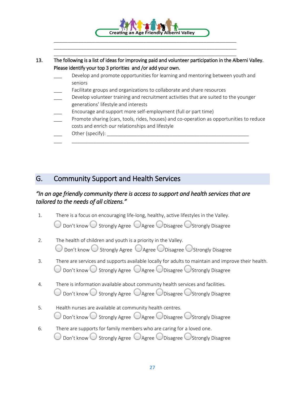

- Facilitate groups and organizations to collaborate and share resources
- Develop volunteer training and recruitment activities that are suited to the younger generations' lifestyle and interests

\_\_\_ \_\_\_\_\_\_\_\_\_\_\_\_\_\_\_\_\_\_\_\_\_\_\_\_\_\_\_\_\_\_\_\_\_\_\_\_\_\_\_\_\_\_\_\_\_\_\_\_\_\_\_\_\_\_\_\_\_\_\_\_\_\_\_\_\_

- Encourage and support more self-employment (full or part time)
- Promote sharing (cars, tools, rides, houses) and co-operation as opportunities to reduce costs and enrich our relationships and lifestyle
- Other (specify):

# G. Community Support and Health Services

## *"In an age friendly community there is access to support and health services that are tailored to the needs of all citizens."*

- 1. There is a focus on encouraging life-long, healthy, active lifestyles in the Valley.  $\bigcirc$  Don't know  $\bigcirc$  Strongly Agree  $\bigcirc$  Agree  $\bigcirc$  Disagree  $\bigcirc$  Strongly Disagree
- 2. The health of children and youth is a priority in the Valley.  $\bigcirc$  Don't know  $\bigcirc$  Strongly Agree  $\bigcirc$  Agree  $\bigcirc$  Disagree  $\bigcirc$  Strongly Disagree
- 3. There are services and supports available locally for adults to maintain and improve their health.  $\bigcirc$  Don't know  $\bigcirc$  Strongly Agree  $\bigcirc$  Agree  $\bigcirc$  Disagree  $\bigcirc$  Strongly Disagree
- 4. There is information available about community health services and facilities.  $\Box$  Don't know  $\bigcirc$  Strongly Agree  $\bigcirc$  Agree  $\bigcirc$  Disagree  $\bigcirc$  Strongly Disagree
- 5. Health nurses are available at community health centres. Don't know  $\bigcirc$  Strongly Agree  $\bigcirc$  Agree  $\bigcirc$  Disagree  $\bigcirc$  Strongly Disagree
- 6. There are supports for family members who are caring for a loved one. Don't know  $\bigcirc$  Strongly Agree  $\bigcirc$  Agree  $\bigcirc$  Disagree  $\bigcirc$  Strongly Disagree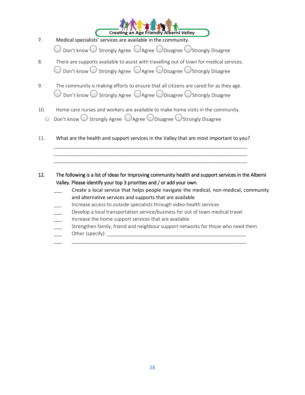

7. Medical specialists' services are available in the community.

 $\bigcirc$  Don't know  $\bigcirc$  Strongly Agree  $\bigcirc$  Agree  $\bigcirc$  Disagree  $\bigcirc$  Strongly Disagree

- 8. There are supports available to assist with travelling out of town for medical services.  $\bigcirc$  Don't know  $\bigcirc$  Strongly Agree  $\bigcirc$  Agree  $\bigcirc$  Disagree  $\bigcirc$  Strongly Disagree
- 9. The community is making efforts to ensure that all citizens are cared for as they age.  $\bigcirc$  Don't know  $\bigcirc$  Strongly Agree  $\bigcirc$  Agree  $\bigcirc$  Disagree  $\bigcirc$  Strongly Disagree
- 10. Home care nurses and workers are available to make home visits in the community.
	- $\circ$  Don't know  $\circ$  Strongly Agree  $\circ$  Agree  $\circ$  Disagree  $\circ$  Strongly Disagree
- 11. What are the health and support services in the Valley that are most important to you?

\_\_\_\_\_\_\_\_\_\_\_\_\_\_\_\_\_\_\_\_\_\_\_\_\_\_\_\_\_\_\_\_\_\_\_\_\_\_\_\_\_\_\_\_\_\_\_\_\_\_\_\_\_\_\_\_\_\_\_\_\_\_\_\_\_\_\_\_\_\_\_ \_\_\_\_\_\_\_\_\_\_\_\_\_\_\_\_\_\_\_\_\_\_\_\_\_\_\_\_\_\_\_\_\_\_\_\_\_\_\_\_\_\_\_\_\_\_\_\_\_\_\_\_\_\_\_\_\_\_\_\_\_\_\_\_\_\_\_\_\_\_\_ \_\_\_\_\_\_\_\_\_\_\_\_\_\_\_\_\_\_\_\_\_\_\_\_\_\_\_\_\_\_\_\_\_\_\_\_\_\_\_\_\_\_\_\_\_\_\_\_\_\_\_\_\_\_\_\_\_\_\_\_\_\_\_\_\_\_\_\_\_\_\_

- 12. The following is a list of ideas for improving community health and support services in the Alberni Valley. Please identify your top 3 priorities and / or add your own.
	- Create a local service that helps people navigate the medical, non-medical, community and alternative services and supports that are available
	- \_\_\_ Increase access to outside specialists through video-health services
	- Develop a local transportation service/business for out of town medical travel

\_\_\_ \_\_\_\_\_\_\_\_\_\_\_\_\_\_\_\_\_\_\_\_\_\_\_\_\_\_\_\_\_\_\_\_\_\_\_\_\_\_\_\_\_\_\_\_\_\_\_\_\_\_\_\_\_\_\_\_\_\_\_\_\_\_\_\_

- Increase the home support services that are available
- Strengthen family, friend and neighbour support networks for those who need them \_\_\_ Other (specify): \_\_\_\_\_\_\_\_\_\_\_\_\_\_\_\_\_\_\_\_\_\_\_\_\_\_\_\_\_\_\_\_\_\_\_\_\_\_\_\_\_\_\_\_\_\_\_\_\_\_\_
-